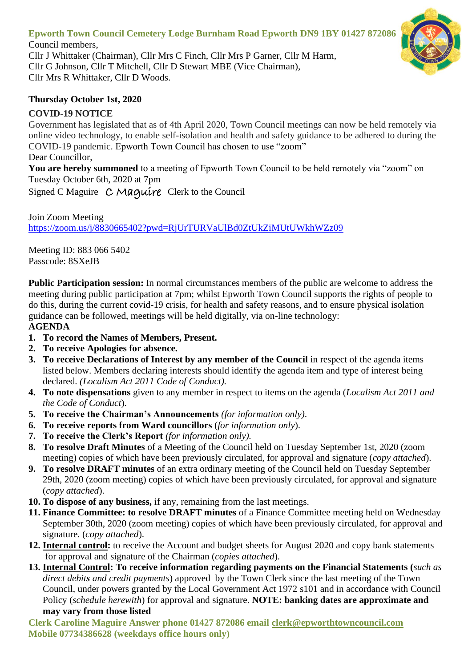## **Epworth Town Council Cemetery Lodge Burnham Road Epworth DN9 1BY 01427 872086**

Council members, Cllr J Whittaker (Chairman), Cllr Mrs C Finch, Cllr Mrs P Garner, Cllr M Harm, Cllr G Johnson, Cllr T Mitchell, Cllr D Stewart MBE (Vice Chairman), Cllr Mrs R Whittaker, Cllr D Woods.

## **Thursday October 1st, 2020**

## **COVID-19 NOTICE**

Government has legislated that as of 4th April 2020, Town Council meetings can now be held remotely via online video technology, to enable self-isolation and health and safety guidance to be adhered to during the COVID-19 pandemic. Epworth Town Council has chosen to use "zoom" Dear Councillor,

**You are hereby summoned** to a meeting of Epworth Town Council to be held remotely via "zoom" on Tuesday October 6th, 2020 at 7pm

Signed C Maguire C Maquire Clerk to the Council

Join Zoom Meeting <https://zoom.us/j/8830665402?pwd=RjUrTURVaUlBd0ZtUkZiMUtUWkhWZz09>

Meeting ID: 883 066 5402 Passcode: 8SXeJB

**Public Participation session:** In normal circumstances members of the public are welcome to address the meeting during public participation at 7pm; whilst Epworth Town Council supports the rights of people to do this, during the current covid-19 crisis, for health and safety reasons, and to ensure physical isolation guidance can be followed, meetings will be held digitally, via on-line technology: **AGENDA**

- **1. To record the Names of Members, Present.**
- **2. To receive Apologies for absence.**
- **3. To receive Declarations of Interest by any member of the Council** in respect of the agenda items listed below. Members declaring interests should identify the agenda item and type of interest being declared. *(Localism Act 2011 Code of Conduct).*
- **4. To note dispensations** given to any member in respect to items on the agenda (*Localism Act 2011 and the Code of Conduct*).
- **5. To receive the Chairman's Announcements** *(for information only)*.
- **6. To receive reports from Ward councillors** (*for information only*).
- **7. To receive the Clerk's Report** *(for information only).*
- **8. To resolve Draft Minutes** of a Meeting of the Council held on Tuesday September 1st, 2020 (zoom meeting) copies of which have been previously circulated, for approval and signature (*copy attached*).
- **9. To resolve DRAFT minutes** of an extra ordinary meeting of the Council held on Tuesday September 29th, 2020 (zoom meeting) copies of which have been previously circulated, for approval and signature (*copy attached*).
- **10. To dispose of any business,** if any, remaining from the last meetings.
- **11. Finance Committee: to resolve DRAFT minutes** of a Finance Committee meeting held on Wednesday September 30th, 2020 (zoom meeting) copies of which have been previously circulated, for approval and signature. (*copy attached*).
- **12. Internal control:** to receive the Account and budget sheets for August 2020 and copy bank statements for approval and signature of the Chairman (*copies attached*).
- **13. Internal Control: To receive information regarding payments on the Financial Statements (***such as direct debits and credit payments*) approved by the Town Clerk since the last meeting of the Town Council, under powers granted by the Local Government Act 1972 s101 and in accordance with Council Policy (*schedule herewith*) for approval and signature. **NOTE: banking dates are approximate and may vary from those listed**

**Clerk Caroline Maguire Answer phone 01427 872086 email [clerk@epworthtowncouncil.com](mailto:clerk@epworthtowncouncil.com) Mobile 07734386628 (weekdays office hours only)**

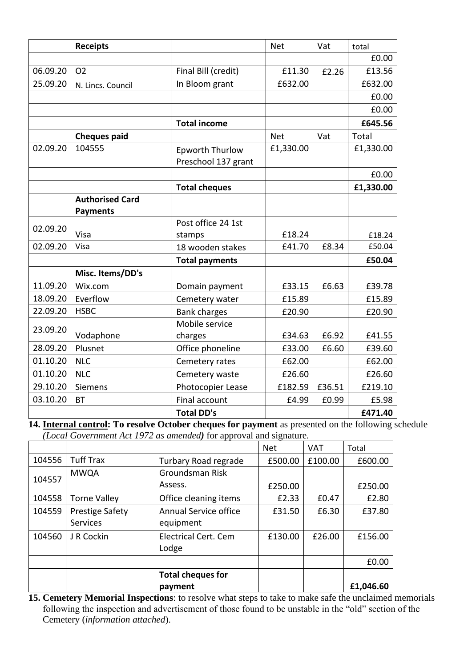|          | <b>Receipts</b>        |                                               | <b>Net</b> | Vat    | total     |
|----------|------------------------|-----------------------------------------------|------------|--------|-----------|
|          |                        |                                               |            |        | £0.00     |
| 06.09.20 | <b>O2</b>              | Final Bill (credit)                           | £11.30     | £2.26  | £13.56    |
| 25.09.20 | N. Lincs. Council      | In Bloom grant                                | £632.00    |        | £632.00   |
|          |                        |                                               |            |        | £0.00     |
|          |                        |                                               |            |        | £0.00     |
|          |                        | <b>Total income</b>                           |            |        | £645.56   |
|          | <b>Cheques paid</b>    |                                               | <b>Net</b> | Vat    | Total     |
| 02.09.20 | 104555                 | <b>Epworth Thurlow</b><br>Preschool 137 grant | £1,330.00  |        | £1,330.00 |
|          |                        |                                               |            |        | £0.00     |
|          |                        | <b>Total cheques</b>                          |            |        | £1,330.00 |
|          | <b>Authorised Card</b> |                                               |            |        |           |
|          | <b>Payments</b>        |                                               |            |        |           |
| 02.09.20 |                        | Post office 24 1st                            |            |        |           |
|          | Visa                   | stamps                                        | £18.24     |        | £18.24    |
| 02.09.20 | Visa                   | 18 wooden stakes                              | £41.70     | £8.34  | £50.04    |
|          |                        | <b>Total payments</b>                         |            |        | £50.04    |
|          | Misc. Items/DD's       |                                               |            |        |           |
| 11.09.20 | Wix.com                | Domain payment                                | £33.15     | £6.63  | £39.78    |
| 18.09.20 | Everflow               | Cemetery water                                | £15.89     |        | £15.89    |
| 22.09.20 | <b>HSBC</b>            | <b>Bank charges</b>                           | £20.90     |        | £20.90    |
| 23.09.20 |                        | Mobile service                                |            |        |           |
|          | Vodaphone              | charges                                       | £34.63     | £6.92  | £41.55    |
| 28.09.20 | Plusnet                | Office phoneline                              | £33.00     | £6.60  | £39.60    |
| 01.10.20 | <b>NLC</b>             | Cemetery rates                                | £62.00     |        | £62.00    |
| 01.10.20 | <b>NLC</b>             | Cemetery waste                                | £26.60     |        | £26.60    |
| 29.10.20 | Siemens                | Photocopier Lease                             | £182.59    | £36.51 | £219.10   |
| 03.10.20 | <b>BT</b>              | Final account                                 | £4.99      | £0.99  | £5.98     |
|          |                        | <b>Total DD's</b>                             |            |        | £471.40   |

**14. Internal control: To resolve October cheques for payment** as presented on the following schedule *(Local Government Act 1972 as amended)* for approval and signature.

|        |                        |                          | <b>Net</b> | <b>VAT</b> | Total     |
|--------|------------------------|--------------------------|------------|------------|-----------|
| 104556 | <b>Tuff Trax</b>       | Turbary Road regrade     | £500.00    | £100.00    | £600.00   |
| 104557 | <b>MWQA</b>            | Groundsman Risk          |            |            |           |
|        |                        | Assess.                  | £250.00    |            | £250.00   |
| 104558 | <b>Torne Valley</b>    | Office cleaning items    | £2.33      | £0.47      | £2.80     |
| 104559 | <b>Prestige Safety</b> | Annual Service office    | £31.50     | £6.30      | £37.80    |
|        | <b>Services</b>        | equipment                |            |            |           |
| 104560 | J R Cockin             | Electrical Cert. Cem     | £130.00    | £26.00     | £156.00   |
|        |                        | Lodge                    |            |            |           |
|        |                        |                          |            |            | £0.00     |
|        |                        | <b>Total cheques for</b> |            |            |           |
|        |                        | payment                  |            |            | £1,046.60 |

**15. Cemetery Memorial Inspections**: to resolve what steps to take to make safe the unclaimed memorials following the inspection and advertisement of those found to be unstable in the "old" section of the Cemetery (*information attached*).